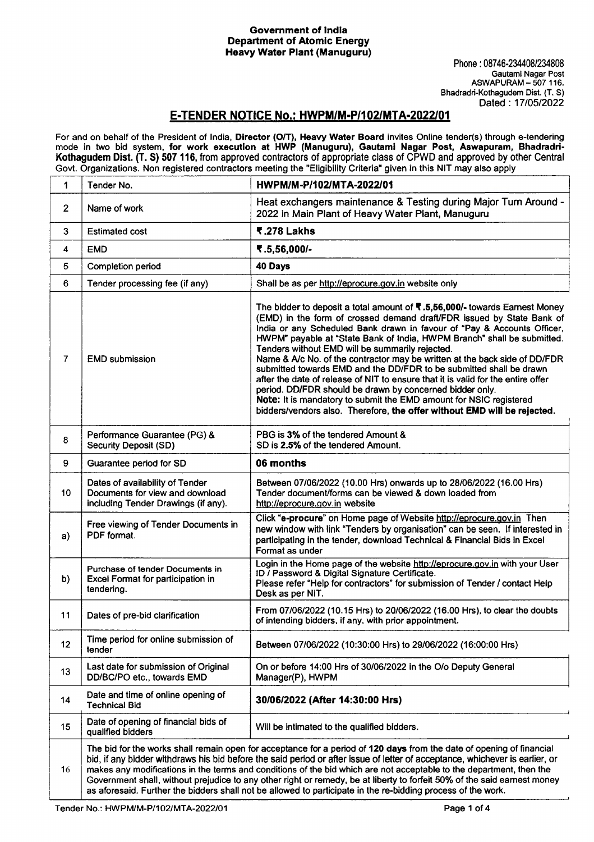## Government of India Department of Atomic Energy Heavy Water Plant (Manuguru)

## E·TENDER NOTICE No.: HWPM/M·P/102/MTA-2022101

For and on behalf of the President of India, **Director (O/T), Heavy Water Board** invites Online tender(s) through e-tendering mode in two bid system, for work execution at HWP (Manuguru), Gautaml Nagar Post, Aswapuram, Bhadradri-Kothagudem Dist. (T. S) 507 116, from approved contractors of appropriate class of CPWD and approved by other Central Govt. Organizations. Non registered contractors meeting the "Eligibility Criteria" given in this NIT may also apply

| 1               | Tender No.                                                                                                | HWPM/M-P/102/MTA-2022/01                                                                                                                                                                                                                                                                                                                                                                                                                                                                                                                                                                                                                                                                                                                                                                                            |
|-----------------|-----------------------------------------------------------------------------------------------------------|---------------------------------------------------------------------------------------------------------------------------------------------------------------------------------------------------------------------------------------------------------------------------------------------------------------------------------------------------------------------------------------------------------------------------------------------------------------------------------------------------------------------------------------------------------------------------------------------------------------------------------------------------------------------------------------------------------------------------------------------------------------------------------------------------------------------|
| $\overline{2}$  | Name of work                                                                                              | Heat exchangers maintenance & Testing during Major Turn Around -<br>2022 in Main Plant of Heavy Water Plant, Manuguru                                                                                                                                                                                                                                                                                                                                                                                                                                                                                                                                                                                                                                                                                               |
| 3               | <b>Estimated cost</b>                                                                                     | ₹.278 Lakhs                                                                                                                                                                                                                                                                                                                                                                                                                                                                                                                                                                                                                                                                                                                                                                                                         |
| 4               | <b>EMD</b>                                                                                                | ₹.5,56,000/-                                                                                                                                                                                                                                                                                                                                                                                                                                                                                                                                                                                                                                                                                                                                                                                                        |
| 5               | Completion period                                                                                         | 40 Days                                                                                                                                                                                                                                                                                                                                                                                                                                                                                                                                                                                                                                                                                                                                                                                                             |
| 6               | Tender processing fee (if any)                                                                            | Shall be as per http://eprocure.gov.in website only                                                                                                                                                                                                                                                                                                                                                                                                                                                                                                                                                                                                                                                                                                                                                                 |
| 7               | <b>EMD submission</b>                                                                                     | The bidder to deposit a total amount of ₹.5,56,000/- towards Earnest Money<br>(EMD) in the form of crossed demand draft/FDR issued by State Bank of<br>India or any Scheduled Bank drawn in favour of "Pay & Accounts Officer,<br>HWPM" payable at "State Bank of India, HWPM Branch" shall be submitted.<br>Tenders without EMD will be summarily rejected.<br>Name & A/c No. of the contractor may be written at the back side of DD/FDR<br>submitted towards EMD and the DD/FDR to be submitted shall be drawn<br>after the date of release of NIT to ensure that it is valid for the entire offer<br>period. DD/FDR should be drawn by concerned bidder only.<br>Note: It is mandatory to submit the EMD amount for NSIC registered<br>bidders/vendors also. Therefore, the offer without EMD will be rejected. |
| 8               | Performance Guarantee (PG) &<br><b>Security Deposit (SD)</b>                                              | PBG is 3% of the tendered Amount &<br>SD is 2.5% of the tendered Amount.                                                                                                                                                                                                                                                                                                                                                                                                                                                                                                                                                                                                                                                                                                                                            |
| 9               | Guarantee period for SD                                                                                   | 06 months                                                                                                                                                                                                                                                                                                                                                                                                                                                                                                                                                                                                                                                                                                                                                                                                           |
| 10 <sub>1</sub> | Dates of availability of Tender<br>Documents for view and download<br>including Tender Drawings (if any). | Between 07/06/2022 (10.00 Hrs) onwards up to 28/06/2022 (16.00 Hrs)<br>Tender document/forms can be viewed & down loaded from<br>http://eprocure.gov.in website                                                                                                                                                                                                                                                                                                                                                                                                                                                                                                                                                                                                                                                     |
| a)              | Free viewing of Tender Documents in<br>PDF format.                                                        | Click "e-procure" on Home page of Website http://eprocure.gov.in Then<br>new window with link "Tenders by organisation" can be seen. If interested in<br>participating in the tender, download Technical & Financial Bids in Excel<br>Format as under                                                                                                                                                                                                                                                                                                                                                                                                                                                                                                                                                               |
| b)              | Purchase of tender Documents in<br>Excel Format for participation in<br>tendering.                        | Login in the Home page of the website http://eprocure.gov.in with your User<br>ID / Password & Digital Signature Certificate.<br>Please refer "Help for contractors" for submission of Tender / contact Help<br>Desk as per NIT.                                                                                                                                                                                                                                                                                                                                                                                                                                                                                                                                                                                    |
| 11              | Dates of pre-bid clarification                                                                            | From 07/06/2022 (10.15 Hrs) to 20/06/2022 (16.00 Hrs), to clear the doubts<br>of intending bidders, if any, with prior appointment.                                                                                                                                                                                                                                                                                                                                                                                                                                                                                                                                                                                                                                                                                 |
| 12 <sub>2</sub> | Time period for online submission of<br>tender                                                            | Between 07/06/2022 (10:30:00 Hrs) to 29/06/2022 (16:00:00 Hrs)                                                                                                                                                                                                                                                                                                                                                                                                                                                                                                                                                                                                                                                                                                                                                      |
| 13              | Last date for submission of Original<br>DD/BC/PO etc., towards EMD                                        | On or before 14:00 Hrs of 30/06/2022 in the O/o Deputy General<br>Manager(P), HWPM                                                                                                                                                                                                                                                                                                                                                                                                                                                                                                                                                                                                                                                                                                                                  |
| 14              | Date and time of online opening of<br><b>Technical Bid</b>                                                | 30/06/2022 (After 14:30:00 Hrs)                                                                                                                                                                                                                                                                                                                                                                                                                                                                                                                                                                                                                                                                                                                                                                                     |
| 15              | Date of opening of financial bids of<br>qualified bidders                                                 | Will be intimated to the qualified bidders.                                                                                                                                                                                                                                                                                                                                                                                                                                                                                                                                                                                                                                                                                                                                                                         |
| 16              |                                                                                                           | The bid for the works shall remain open for acceptance for a period of 120 days from the date of opening of financial<br>bid, if any bidder withdraws his bid before the said period or after issue of letter of acceptance, whichever is earlier, or<br>makes any modifications in the terms and conditions of the bid which are not acceptable to the department, then the<br>Government shall, without prejudice to any other right or remedy, be at liberty to forfeit 50% of the said earnest money                                                                                                                                                                                                                                                                                                            |

as aforesaid. Further the bidders shall not be allowed to participate in the re-bidding process of the work.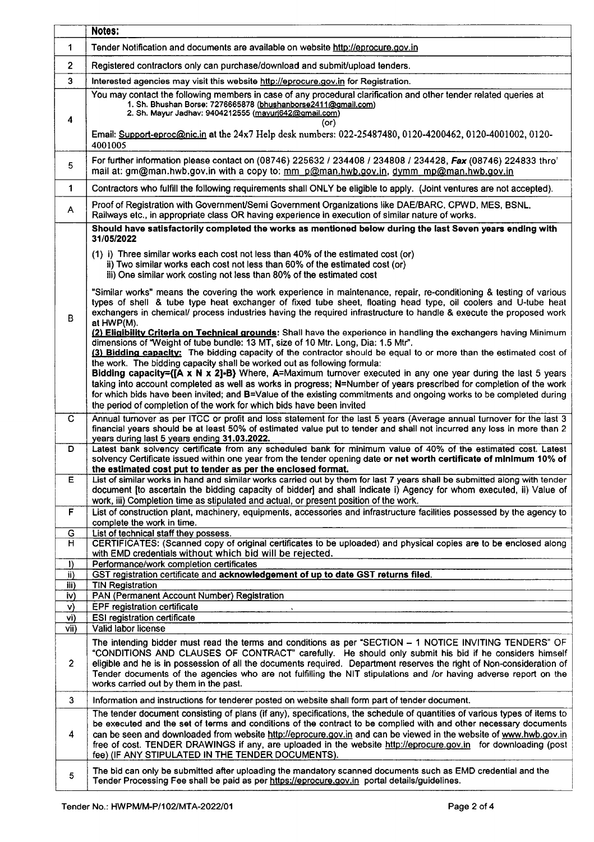|                 | Notes:                                                                                                                                                                                                                                                                                                                                                                                                                                                                                                                                                                                                                                                                                                                                                                              |
|-----------------|-------------------------------------------------------------------------------------------------------------------------------------------------------------------------------------------------------------------------------------------------------------------------------------------------------------------------------------------------------------------------------------------------------------------------------------------------------------------------------------------------------------------------------------------------------------------------------------------------------------------------------------------------------------------------------------------------------------------------------------------------------------------------------------|
| 1               | Tender Notification and documents are available on website http://eprocure.gov.in                                                                                                                                                                                                                                                                                                                                                                                                                                                                                                                                                                                                                                                                                                   |
| $\mathbf{2}$    | Registered contractors only can purchase/download and submit/upload tenders.                                                                                                                                                                                                                                                                                                                                                                                                                                                                                                                                                                                                                                                                                                        |
| 3               | Interested agencies may visit this website http://eprocure.gov.in for Registration.                                                                                                                                                                                                                                                                                                                                                                                                                                                                                                                                                                                                                                                                                                 |
| 4               | You may contact the following members in case of any procedural clarification and other tender related queries at<br>1. Sh. Bhushan Borse: 7276665878 (bhushanborse2411@gmail.com)<br>2. Sh. Mayur Jadhav: 9404212555 (mayurj642@gmail.com)<br>(or)<br>Email: Support-eproc@nic.in at the 24x7 Help desk numbers: 022-25487480, 0120-4200462, 0120-4001002, 0120-                                                                                                                                                                                                                                                                                                                                                                                                                   |
| 5               | 4001005<br>For further information please contact on (08746) 225632 / 234408 / 234808 / 234428, Fax (08746) 224833 thro'                                                                                                                                                                                                                                                                                                                                                                                                                                                                                                                                                                                                                                                            |
|                 | mail at: gm@man.hwb.gov.in with a copy to: mm p@man.hwb.gov.in, dymm mp@man.hwb.gov.in                                                                                                                                                                                                                                                                                                                                                                                                                                                                                                                                                                                                                                                                                              |
| $\mathbf{1}$    | Contractors who fulfill the following requirements shall ONLY be eligible to apply. (Joint ventures are not accepted).                                                                                                                                                                                                                                                                                                                                                                                                                                                                                                                                                                                                                                                              |
| A               | Proof of Registration with Government/Semi Government Organizations like DAE/BARC, CPWD, MES, BSNL,<br>Railways etc., in appropriate class OR having experience in execution of similar nature of works.                                                                                                                                                                                                                                                                                                                                                                                                                                                                                                                                                                            |
|                 | Should have satisfactorily completed the works as mentioned below during the last Seven years ending with<br>31/05/2022                                                                                                                                                                                                                                                                                                                                                                                                                                                                                                                                                                                                                                                             |
|                 | (1) i) Three similar works each cost not less than 40% of the estimated cost (or)<br>ii) Two similar works each cost not less than 60% of the estimated cost (or)<br>iii) One similar work costing not less than 80% of the estimated cost                                                                                                                                                                                                                                                                                                                                                                                                                                                                                                                                          |
| B               | "Similar works" means the covering the work experience in maintenance, repair, re-conditioning & testing of various<br>types of shell & tube type heat exchanger of fixed tube sheet, floating head type, oil coolers and U-tube heat<br>exchangers in chemical/ process industries having the required infrastructure to handle & execute the proposed work<br>at HWP(M).                                                                                                                                                                                                                                                                                                                                                                                                          |
|                 | (2) Eligibility Criteria on Technical grounds: Shall have the experience in handling the exchangers having Minimum<br>dimensions of "Weight of tube bundle: 13 MT, size of 10 Mtr. Long, Dia: 1.5 Mtr".<br>(3) Bidding capacity: The bidding capacity of the contractor should be equal to or more than the estimated cost of<br>the work. The bidding capacity shall be worked out as following formula:<br>Bidding capacity={ $[A \times N \times 2]$ -B} Where, A=Maximum turnover executed in any one year during the last 5 years<br>taking into account completed as well as works in progress; N=Number of years prescribed for completion of the work<br>for which bids have been invited; and B=Value of the existing commitments and ongoing works to be completed during |
| C.              | the period of completion of the work for which bids have been invited<br>Annual turnover as per ITCC or profit and loss statement for the last 5 years (Average annual turnover for the last 3                                                                                                                                                                                                                                                                                                                                                                                                                                                                                                                                                                                      |
|                 | financial years should be at least 50% of estimated value put to tender and shall not incurred any loss in more than 2<br>years during last 5 years ending 31.03.2022.                                                                                                                                                                                                                                                                                                                                                                                                                                                                                                                                                                                                              |
| D               | Latest bank solvency certificate from any scheduled bank for minimum value of 40% of the estimated cost. Latest<br>solvency Certificate issued within one year from the tender opening date or net worth certificate of minimum 10% of<br>the estimated cost put to tender as per the enclosed format.                                                                                                                                                                                                                                                                                                                                                                                                                                                                              |
| Ë               | List of similar works in hand and similar works carried out by them for last 7 years shall be submitted along with tender<br>document [to ascertain the bidding capacity of bidder] and shall indicate i) Agency for whom executed, ii) Value of<br>work, iii) Completion time as stipulated and actual, or present position of the work.                                                                                                                                                                                                                                                                                                                                                                                                                                           |
| F               | List of construction plant, machinery, equipments, accessories and infrastructure facilities possessed by the agency to<br>complete the work in time.                                                                                                                                                                                                                                                                                                                                                                                                                                                                                                                                                                                                                               |
| G<br>н          | List of technical staff they possess.<br>CERTIFICATES: (Scanned copy of original certificates to be uploaded) and physical copies are to be enclosed along                                                                                                                                                                                                                                                                                                                                                                                                                                                                                                                                                                                                                          |
|                 | with EMD credentials without which bid will be rejected.                                                                                                                                                                                                                                                                                                                                                                                                                                                                                                                                                                                                                                                                                                                            |
| $\bf{D}$<br>ii) | Performance/work completion certificates<br>GST registration certificate and acknowledgement of up to date GST returns filed.                                                                                                                                                                                                                                                                                                                                                                                                                                                                                                                                                                                                                                                       |
| iii)            | <b>TIN Registration</b>                                                                                                                                                                                                                                                                                                                                                                                                                                                                                                                                                                                                                                                                                                                                                             |
| iv)             | PAN (Permanent Account Number) Registration                                                                                                                                                                                                                                                                                                                                                                                                                                                                                                                                                                                                                                                                                                                                         |
| V)<br>vi)       | EPF registration certificate<br><b>ESI registration certificate</b>                                                                                                                                                                                                                                                                                                                                                                                                                                                                                                                                                                                                                                                                                                                 |
| vii)            | Valid labor license                                                                                                                                                                                                                                                                                                                                                                                                                                                                                                                                                                                                                                                                                                                                                                 |
| $\overline{2}$  | The intending bidder must read the terms and conditions as per "SECTION - 1 NOTICE INVITING TENDERS" OF<br>"CONDITIONS AND CLAUSES OF CONTRACT" carefully. He should only submit his bid if he considers himself<br>eligible and he is in possession of all the documents required. Department reserves the right of Non-consideration of<br>Tender documents of the agencies who are not fulfilling the NIT stipulations and /or having adverse report on the<br>works carried out by them in the past.                                                                                                                                                                                                                                                                            |
| 3               | Information and instructions for tenderer posted on website shall form part of tender document.                                                                                                                                                                                                                                                                                                                                                                                                                                                                                                                                                                                                                                                                                     |
| 4               | The tender document consisting of plans (if any), specifications, the schedule of quantities of various types of items to<br>be executed and the set of terms and conditions of the contract to be complied with and other necessary documents<br>can be seen and downloaded from website http://eprocure.gov.in and can be viewed in the website of www.hwb.gov.in<br>free of cost. TENDER DRAWINGS if any, are uploaded in the website http://eprocure.gov.in for downloading (post<br>fee) (IF ANY STIPULATED IN THE TENDER DOCUMENTS).                                                                                                                                                                                                                                          |
| 5               | The bid can only be submitted after uploading the mandatory scanned documents such as EMD credential and the<br>Tender Processing Fee shall be paid as per https://eprocure.gov.in portal details/guidelines.                                                                                                                                                                                                                                                                                                                                                                                                                                                                                                                                                                       |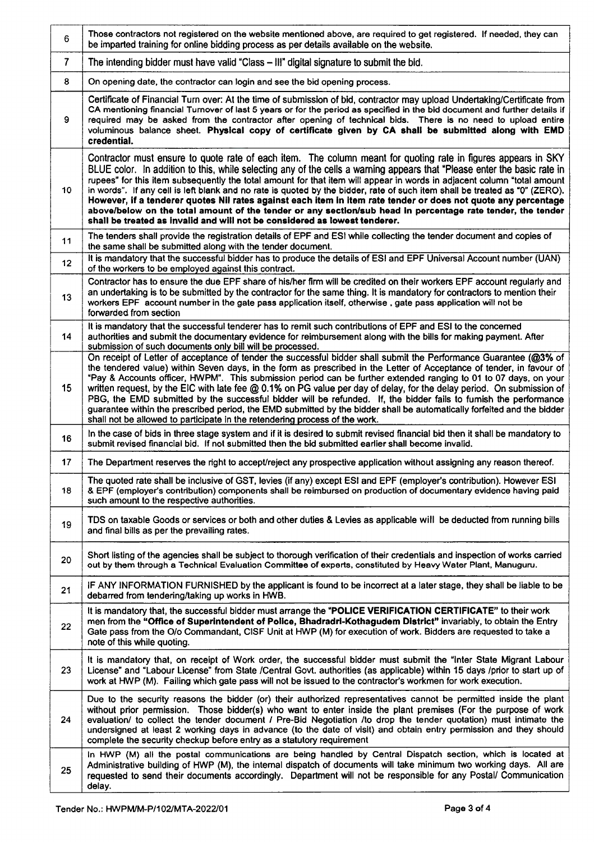| 6                | Those contractors not registered on the website mentioned above, are required to get registered. If needed, they can<br>be imparted training for online bidding process as per details available on the website.                                                                                                                                                                                                                                                                                                                                                                                                                                                                                                                                                                                                     |
|------------------|----------------------------------------------------------------------------------------------------------------------------------------------------------------------------------------------------------------------------------------------------------------------------------------------------------------------------------------------------------------------------------------------------------------------------------------------------------------------------------------------------------------------------------------------------------------------------------------------------------------------------------------------------------------------------------------------------------------------------------------------------------------------------------------------------------------------|
| $\overline{7}$   | The intending bidder must have valid "Class - III" digital signature to submit the bid.                                                                                                                                                                                                                                                                                                                                                                                                                                                                                                                                                                                                                                                                                                                              |
| 8                | On opening date, the contractor can login and see the bid opening process.                                                                                                                                                                                                                                                                                                                                                                                                                                                                                                                                                                                                                                                                                                                                           |
| 9                | Certificate of Financial Turn over: At the time of submission of bid, contractor may upload Undertaking/Certificate from<br>CA mentioning financial Turnover of last 5 years or for the period as specified in the bid document and further details if<br>required may be asked from the contractor after opening of technical bids. There is no need to upload entire<br>voluminous balance sheet. Physical copy of certificate given by CA shall be submitted along with EMD<br>credential.                                                                                                                                                                                                                                                                                                                        |
| 10               | Contractor must ensure to quote rate of each item. The column meant for quoting rate in figures appears in SKY<br>BLUE color. In addition to this, while selecting any of the cells a warning appears that "Please enter the basic rate in<br>rupees" for this item subsequently the total amount for that item will appear in words in adjacent column "total amount<br>in words". If any cell is left blank and no rate is quoted by the bidder, rate of such item shall be treated as "0" (ZERO).<br>However, if a tenderer quotes Nil rates against each item in item rate tender or does not quote any percentage<br>above/below on the total amount of the tender or any section/sub head in percentage rate tender, the tender<br>shall be treated as invalid and will not be considered as lowest tenderer.  |
| 11               | The tenders shall provide the registration details of EPF and ESI while collecting the tender document and copies of<br>the same shall be submitted along with the tender document.                                                                                                                                                                                                                                                                                                                                                                                                                                                                                                                                                                                                                                  |
| 12 <sub>2</sub>  | It is mandatory that the successful bidder has to produce the details of ESI and EPF Universal Account number (UAN)<br>of the workers to be employed against this contract.                                                                                                                                                                                                                                                                                                                                                                                                                                                                                                                                                                                                                                          |
| 13               | Contractor has to ensure the due EPF share of his/her firm will be credited on their workers EPF account regularly and<br>an undertaking is to be submitted by the contractor for the same thing. It is mandatory for contractors to mention their<br>workers EPF account number in the gate pass application itself, otherwise, gate pass application will not be<br>forwarded from section                                                                                                                                                                                                                                                                                                                                                                                                                         |
| 14               | It is mandatory that the successful tenderer has to remit such contributions of EPF and ESI to the concerned<br>authorities and submit the documentary evidence for reimbursement along with the bills for making payment. After<br>submission of such documents only bill will be processed.                                                                                                                                                                                                                                                                                                                                                                                                                                                                                                                        |
| 15 <sub>15</sub> | On receipt of Letter of acceptance of tender the successful bidder shall submit the Performance Guarantee (@3% of<br>the tendered value) within Seven days, in the form as prescribed in the Letter of Acceptance of tender, in favour of<br>"Pay & Accounts officer, HWPM". This submission period can be further extended ranging to 01 to 07 days, on your<br>written request, by the EIC with late fee @ 0.1% on PG value per day of delay, for the delay period. On submission of<br>PBG, the EMD submitted by the successful bidder will be refunded. If, the bidder fails to fumish the performance<br>guarantee within the prescribed period, the EMD submitted by the bidder shall be automatically forfeited and the bidder<br>shall not be allowed to participate in the retendering process of the work. |
| 16               | In the case of bids in three stage system and if it is desired to submit revised financial bid then it shall be mandatory to<br>submit revised financial bid. If not submitted then the bid submitted earlier shall become invalid.                                                                                                                                                                                                                                                                                                                                                                                                                                                                                                                                                                                  |
| 17               | The Department reserves the right to accept/reject any prospective application without assigning any reason thereof.                                                                                                                                                                                                                                                                                                                                                                                                                                                                                                                                                                                                                                                                                                 |
| 18               | The quoted rate shall be inclusive of GST, levies (if any) except ESI and EPF (employer's contribution). However ESI<br>& EPF (employer's contribution) components shall be reimbursed on production of documentary evidence having paid<br>such amount to the respective authorities.                                                                                                                                                                                                                                                                                                                                                                                                                                                                                                                               |
| 19               | TDS on taxable Goods or services or both and other duties & Levies as applicable will be deducted from running bills<br>and final bills as per the prevailing rates.                                                                                                                                                                                                                                                                                                                                                                                                                                                                                                                                                                                                                                                 |
| 20               | Short listing of the agencies shall be subject to thorough verification of their credentials and inspection of works carried<br>out by them through a Technical Evaluation Committee of experts, constituted by Heavy Water Plant, Manuguru.                                                                                                                                                                                                                                                                                                                                                                                                                                                                                                                                                                         |
| 21               | IF ANY INFORMATION FURNISHED by the applicant is found to be incorrect at a later stage, they shall be liable to be<br>debarred from tendering/taking up works in HWB.                                                                                                                                                                                                                                                                                                                                                                                                                                                                                                                                                                                                                                               |
| 22               | It is mandatory that, the successful bidder must arrange the "POLICE VERIFICATION CERTIFICATE" to their work<br>men from the "Office of Superintendent of Police, Bhadradri-Kothagudem District" invariably, to obtain the Entry<br>Gate pass from the O/o Commandant, CISF Unit at HWP (M) for execution of work. Bidders are requested to take a<br>note of this while quoting.                                                                                                                                                                                                                                                                                                                                                                                                                                    |
| 23               | It is mandatory that, on receipt of Work order, the successful bidder must submit the "inter State Migrant Labour<br>License" and "Labour License" from State /Central Govt. authorities (as applicable) within 15 days /prior to start up of<br>work at HWP (M). Failing which gate pass will not be issued to the contractor's workmen for work execution.                                                                                                                                                                                                                                                                                                                                                                                                                                                         |
| 24               | Due to the security reasons the bidder (or) their authorized representatives cannot be permitted inside the plant<br>without prior permission. Those bidder(s) who want to enter inside the plant premises (For the purpose of work<br>evaluation/ to collect the tender document / Pre-Bid Negotiation /to drop the tender quotation) must intimate the<br>undersigned at least 2 working days in advance (to the date of visit) and obtain entry permission and they should<br>complete the security checkup before entry as a statutory requirement                                                                                                                                                                                                                                                               |
| 25               | In HWP (M) all the postal communications are being handled by Central Dispatch section, which is located at<br>Administrative building of HWP (M), the internal dispatch of documents will take minimum two working days. All are<br>requested to send their documents accordingly. Department will not be responsible for any Postal/ Communication<br>delay.                                                                                                                                                                                                                                                                                                                                                                                                                                                       |